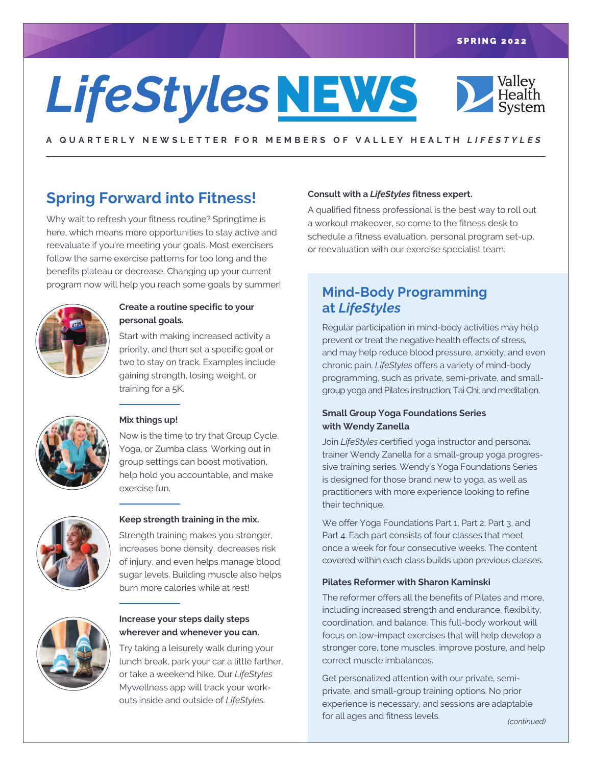# **LifeStyles NEWS**

Valley<br>Health<br>System

A QUARTERLY NEWSLETTER FOR MEMBERS OF VALLEY HEALTH LIFESTYLES

# **Spring Forward into Fitness!**

Why wait to refresh your fitness routine? Springtime is here, which means more opportunities to stay active and reevaluate if you're meeting your goals. Most exercisers follow the same exercise patterns for too long and the benefits plateau or decrease. Changing up your current program now will help you reach some goals by summer!



#### **Create a routine specific to your personal goals.**

Start with making increased activity a priority, and then set a specific goal or two to stay on track. Examples include gaining strength, losing weight, or training for a 5K.



### **Mix things up!**

Now is the time to try that Group Cycle, Yoga, or Zumba class. Working out in group settings can boost motivation, help hold you accountable, and make exercise fun.



#### **Keep strength training in the mix.**

Strength training makes you stronger, increases bone density, decreases risk of injury, and even helps manage blood sugar levels. Building muscle also helps burn more calories while at rest!



#### **Increase your steps daily steps wherever and whenever you can.**

Try taking a leisurely walk during your lunch break, park your car a little farther, or take a weekend hike. Our *LifeStyles* Mywellness app will track your workouts inside and outside of *LifeStyles.*

#### **Consult with a** *LifeStyles* **fitness expert.**

A qualified fitness professional is the best way to roll out a workout makeover, so come to the fitness desk to schedule a fitness evaluation, personal program set-up, or reevaluation with our exercise specialist team.

## **Mind-Body Programming at** *LifeStyles*

Regular participation in mind-body activities may help prevent or treat the negative health effects of stress, and may help reduce blood pressure, anxiety, and even chronic pain. *LifeStyles* offers a variety of mind-body programming, such as private, semi-private, and smallgroup yoga and Pilates instruction; TaiChi; and meditation.

#### **Small Group Yoga Foundations Series with Wendy Zanella**

Join *LifeStyles* certified yoga instructor and personal trainer Wendy Zanella for a small-group yoga progressive training series. Wendy's Yoga Foundations Series is designed for those brand new to yoga, as well as practitioners with more experience looking to refine their technique.

We offer Yoga Foundations Part 1, Part 2, Part 3, and Part 4. Each part consists of four classes that meet once a week for four consecutive weeks. The content covered within each class builds upon previous classes.

#### **Pilates Reformer with Sharon Kaminski**

The reformer offers all the benefits of Pilates and more, including increased strength and endurance, flexibility, coordination, and balance. This full-body workout will focus on low-impact exercises that will help develop a stronger core, tone muscles, improve posture, and help correct muscle imbalances.

Get personalized attention with our private, semiprivate, and small-group training options. No prior experience is necessary, and sessions are adaptable for all ages and fitness levels. *(continued)*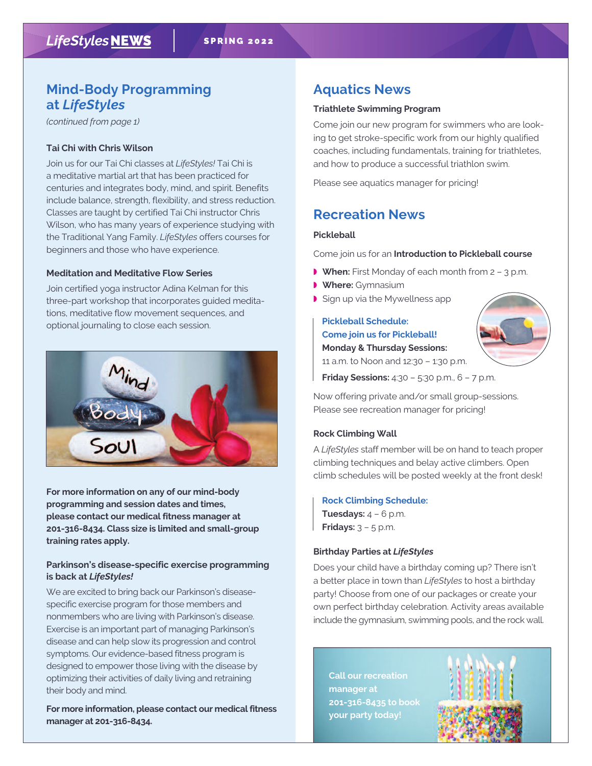## **Mind-Body Programming at** *LifeStyles*

*(continued from page 1)*

#### **Tai Chi with Chris Wilson**

Join us for our Tai Chi classes at *LifeStyles!* Tai Chi is a meditative martial art that has been practiced for centuries and integrates body, mind, and spirit. Benefits include balance, strength, flexibility, and stress reduction. Classes are taught by certified Tai Chi instructor Chris Wilson, who has many years of experience studying with the Traditional Yang Family. *LifeStyles* offers courses for beginners and those who have experience.

#### **Meditation and Meditative Flow Series**

Join certified yoga instructor Adina Kelman for this three-part workshop that incorporates guided meditations, meditative flow movement sequences, and optional journaling to close each session.



**For more information on any of our mind-body programming and session dates and times, please contact our medical fitness manager at 201-316-8434. Class size is limited and small-group training rates apply.**

#### **Parkinson's disease-specific exercise programming is back at** *LifeStyles!*

We are excited to bring back our Parkinson's diseasespecific exercise program for those members and nonmembers who are living with Parkinson's disease. Exercise is an important part of managing Parkinson's disease and can help slow its progression and control symptoms. Our evidence-based fitness program is designed to empower those living with the disease by optimizing their activities of daily living and retraining their body and mind.

**For more information, please contact our medical fitness manager at 201-316-8434.**

# **Aquatics News**

#### **Triathlete Swimming Program**

Come join our new program for swimmers who are looking to get stroke-specific work from our highly qualified coaches, including fundamentals, training for triathletes, and how to produce a successful triathlon swim.

Please see aquatics manager for pricing!

## **Recreation News**

#### **Pickleball**

Come join us for an **Introduction to Pickleball course**

- **When:** First Monday of each month from 2 3 p.m.
- ◗ **Where:** Gymnasium
- ◗ Sign up via the Mywellness app

**Pickleball Schedule: Come join us for Pickleball! Monday & Thursday Sessions:** 11 a.m. to Noon and 12:30 – 1:30 p.m.



**Friday Sessions:** 4:30 – 5:30 p.m., 6 – 7 p.m.

Now offering private and/or small group-sessions. Please see recreation manager for pricing!

#### **Rock Climbing Wall**

A *LifeStyles* staff member will be on hand to teach proper climbing techniques and belay active climbers. Open climb schedules will be posted weekly at the front desk!

#### **Rock Climbing Schedule:**

**Tuesdays:** 4 – 6 p.m. **Fridays:** 3 – 5 p.m.

#### **Birthday Parties at** *LifeStyles*

Does your child have a birthday coming up? There isn't a better place in town than *LifeStyles* to host a birthday party! Choose from one of our packages or create your own perfect birthday celebration. Activity areas available include the gymnasium, swimming pools, and the rock wall.

**Call our recreation manager at 201-316-8435 to book your party today!**

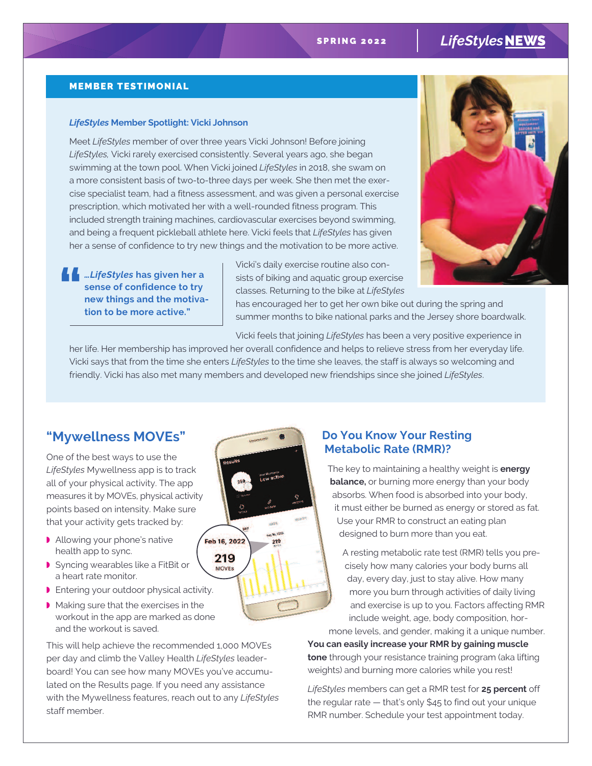# SPRING 2022 | LifeStyles NEWS

#### MEMBER TESTIMONIAL

#### *LifeStyles* **Member Spotlight: Vicki Johnson**

Meet *LifeStyles* member of over three years Vicki Johnson! Before joining *LifeStyles,* Vicki rarely exercised consistently. Several years ago, she began swimming at the town pool. When Vicki joined *LifeStyles* in 2018, she swam on a more consistent basis of two-to-three days per week. She then met the exercise specialist team, had a fitness assessment, and was given a personal exercise prescription, which motivated her with a well-rounded fitness program. This included strength training machines, cardiovascular exercises beyond swimming, and being a frequent pickleball athlete here. Vicki feels that *LifeStyles* has given her a sense of confidence to try new things and the motivation to be more active.

*…LifeStyles* **has given her a sense of confidence to try new things and the motiva- " tion to be more active."**

Vicki's daily exercise routine also consists of biking and aquatic group exercise classes. Returning to the bike at *LifeStyles*



has encouraged her to get her own bike out during the spring and summer months to bike national parks and the Jersey shore boardwalk.

Vicki feels that joining *LifeStyles* has been a very positive experience in

her life. Her membership has improved her overall confidence and helps to relieve stress from her everyday life. Vicki says that from the time she enters *LifeStyles* to the time she leaves, the staff is always so welcoming and friendly. Vicki has also met many members and developed new friendships since she joined *LifeStyles*.

## **"Mywellness MOVEs"**

One of the best ways to use the *LifeStyles* Mywellness app is to track all of your physical activity. The app measures it by MOVEs, physical activity points based on intensity. Make sure that your activity gets tracked by:

- ◗ Allowing your phone's native health app to sync.
- ◗ Syncing wearables like a FitBit or a heart rate monitor.
- ◗ Entering your outdoor physical activity.
- ◗ Making sure that the exercises in the workout in the app are marked as done and the workout is saved.

This will help achieve the recommended 1,000 MOVEs per day and climb the Valley Health *LifeStyles* leaderboard! You can see how many MOVEs you've accumulated on the Results page. If you need any assistance with the Mywellness features, reach out to any *LifeStyles* staff member.

## **Do You Know Your Resting Metabolic Rate (RMR)?**

The key to maintaining a healthy weight is **energy balance**, or burning more energy than your body absorbs. When food is absorbed into your body, it must either be burned as energy or stored as fat. Use your RMR to construct an eating plan designed to burn more than you eat.

A resting metabolic rate test (RMR) tells you precisely how many calories your body burns all day, every day, just to stay alive. How many more you burn through activities of daily living and exercise is up to you. Factors affecting RMR include weight, age, body composition, hormone levels, and gender, making it a unique number.

**You can easily increase your RMR by gaining muscle tone** through your resistance training program (aka lifting weights) and burning more calories while you rest!

*LifeStyles* members can get a RMR test for **25 percent** off the regular rate — that's only \$45 to find out your unique RMR number. Schedule your test appointment today.